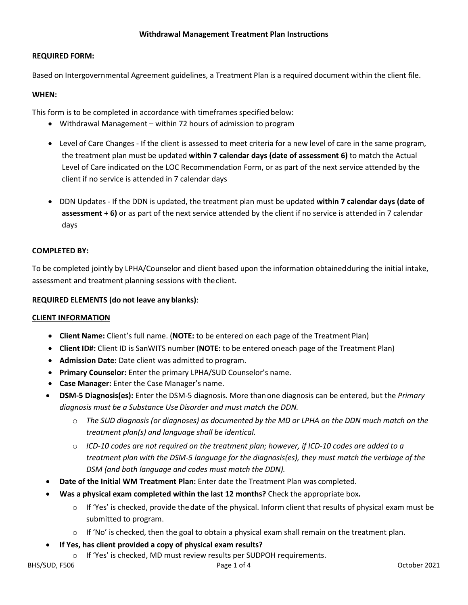# **Withdrawal Management Treatment Plan Instructions**

### **REQUIRED FORM:**

Based on Intergovernmental Agreement guidelines, a Treatment Plan is a required document within the client file.

# **WHEN:**

This form is to be completed in accordance with timeframes specified below:

- Withdrawal Management within 72 hours of admission to program
- Level of Care Changes If the client is assessed to meet criteria for a new level of care in the same program, the treatment plan must be updated **within 7 calendar days (date of assessment 6)** to match the Actual Level of Care indicated on the LOC Recommendation Form, or as part of the next service attended by the client if no service is attended in 7 calendar days
- DDN Updates If the DDN is updated, the treatment plan must be updated **within 7 calendar days (date of assessment + 6)** or as part of the next service attended by the client if no service is attended in 7 calendar days

# **COMPLETED BY:**

To be completed jointly by LPHA/Counselor and client based upon the information obtainedduring the initial intake, assessment and treatment planning sessions with theclient.

### **REQUIRED ELEMENTS (do not leave any blanks)**:

#### **CLIENT INFORMATION**

- **Client Name:** Client's full name. (**NOTE:** to be entered on each page of the TreatmentPlan)
- **Client ID#:** Client ID is SanWITS number (**NOTE:** to be entered oneach page of the Treatment Plan)
- **Admission Date:** Date client was admitted to program.
- **Primary Counselor:** Enter the primary LPHA/SUD Counselor's name.
- **Case Manager:** Enter the Case Manager's name.
- **DSM-5 Diagnosis(es):** Enter the DSM-5 diagnosis. More thanone diagnosis can be entered, but the *Primary diagnosis must be a Substance UseDisorder and must match the DDN.*
	- o *The SUD diagnosis (or diagnoses) as documented by the MD or LPHA on the DDN much match on the treatment plan(s) and language shall be identical.*
	- o *ICD-10 codes are not required on the treatment plan; however, if ICD-10 codes are added to a treatment plan with the DSM-5 language for the diagnosis(es), they must match the verbiage of the DSM (and both language and codes must match the DDN).*
- **Date of the Initial WM Treatment Plan:** Enter date the Treatment Plan was completed.
- **Was a physical exam completed within the last 12 months?** Check the appropriate box**.** 
	- $\circ$  If 'Yes' is checked, provide the date of the physical. Inform client that results of physical exam must be submitted to program.
	- $\circ$  If 'No' is checked, then the goal to obtain a physical exam shall remain on the treatment plan.
- **If Yes, has client provided a copy of physical exam results?**
	- o If 'Yes' is checked, MD must review results per SUDPOH requirements.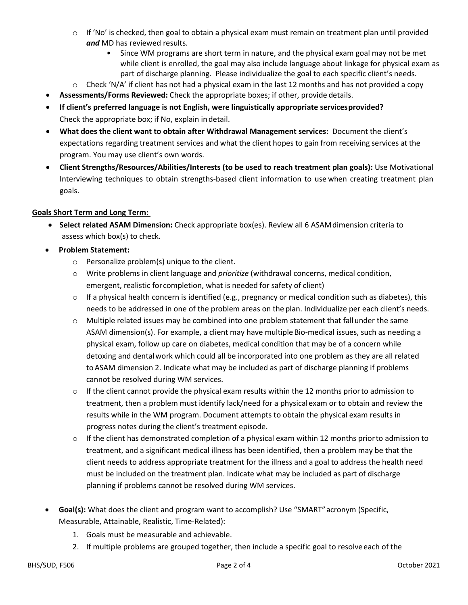- $\circ$  If 'No' is checked, then goal to obtain a physical exam must remain on treatment plan until provided *and* MD has reviewed results.
	- Since WM programs are short term in nature, and the physical exam goal may not be met while client is enrolled, the goal may also include language about linkage for physical exam as part of discharge planning. Please individualize the goal to each specific client's needs.
- $\circ$  Check 'N/A' if client has not had a physical exam in the last 12 months and has not provided a copy
- **Assessments/Forms Reviewed:** Check the appropriate boxes; if other, provide details.
- **If client's preferred language is not English, were linguistically appropriate servicesprovided?** Check the appropriate box; if No, explain indetail.
- **What does the client want to obtain after Withdrawal Management services:** Document the client's expectations regarding treatment services and what the client hopes to gain from receiving services at the program. You may use client's own words.
- **Client Strengths/Resources/Abilities/Interests (to be used to reach treatment plan goals):** Use Motivational Interviewing techniques to obtain strengths-based client information to use when creating treatment plan goals.

# **Goals Short Term and Long Term:**

- **Select related ASAM Dimension:** Check appropriate box(es). Review all 6 ASAMdimension criteria to assess which box(s) to check.
- **Problem Statement:**
	- o Personalize problem(s) unique to the client.
	- o Write problems in client language and *prioritize* (withdrawal concerns, medical condition, emergent, realistic forcompletion, what is needed for safety of client)
	- $\circ$  If a physical health concern is identified (e.g., pregnancy or medical condition such as diabetes), this needs to be addressed in one of the problem areas on the plan. Individualize per each client's needs.
	- $\circ$  Multiple related issues may be combined into one problem statement that fallunder the same ASAM dimension(s). For example, a client may have multiple Bio-medical issues, such as needing a physical exam, follow up care on diabetes, medical condition that may be of a concern while detoxing and dentalwork which could all be incorporated into one problem as they are all related toASAM dimension 2. Indicate what may be included as part of discharge planning if problems cannot be resolved during WM services.
	- $\circ$  If the client cannot provide the physical exam results within the 12 months prior to admission to treatment, then a problem must identify lack/need for a physicalexam or to obtain and review the results while in the WM program. Document attempts to obtain the physical exam results in progress notes during the client's treatment episode.
	- $\circ$  If the client has demonstrated completion of a physical exam within 12 months prior to admission to treatment, and a significant medical illness has been identified, then a problem may be that the client needs to address appropriate treatment for the illness and a goal to address the health need must be included on the treatment plan. Indicate what may be included as part of discharge planning if problems cannot be resolved during WM services.
- **Goal(s):** What does the client and program want to accomplish? Use "SMART"acronym (Specific, Measurable, Attainable, Realistic, Time-Related):
	- 1. Goals must be measurable and achievable.
	- 2. If multiple problems are grouped together, then include a specific goal to resolveeach of the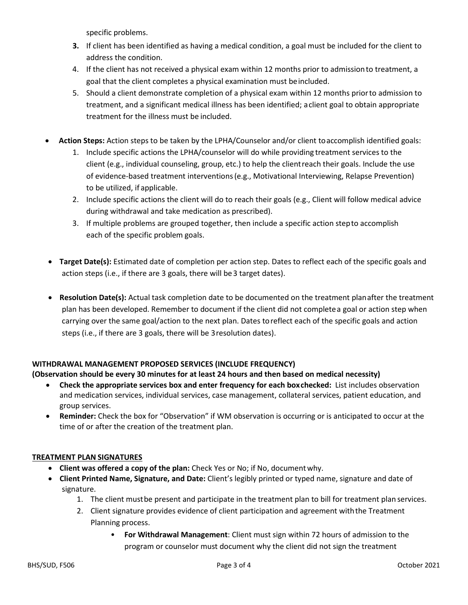specific problems.

- **3.** If client has been identified as having a medical condition, a goal must be included for the client to address the condition.
- 4. If the client has not received a physical exam within 12 months prior to admissionto treatment, a goal that the client completes a physical examination must beincluded.
- 5. Should a client demonstrate completion of a physical exam within 12 months priorto admission to treatment, and a significant medical illness has been identified; aclient goal to obtain appropriate treatment for the illness must be included.
- **Action Steps:** Action steps to be taken by the LPHA/Counselor and/or client toaccomplish identified goals:
	- 1. Include specific actions the LPHA/counselor will do while providing treatment services to the client (e.g., individual counseling, group, etc.) to help the clientreach their goals. Include the use of evidence-based treatment interventions(e.g., Motivational Interviewing, Relapse Prevention) to be utilized, if applicable.
	- 2. Include specific actions the client will do to reach their goals (e.g., Client will follow medical advice during withdrawal and take medication as prescribed).
	- 3. If multiple problems are grouped together, then include a specific action stepto accomplish each of the specific problem goals.
- **Target Date(s):** Estimated date of completion per action step. Dates to reflect each of the specific goals and action steps (i.e., if there are 3 goals, there will be 3 target dates).
- **Resolution Date(s):** Actual task completion date to be documented on the treatment planafter the treatment plan has been developed. Remember to document if the client did not completea goal or action step when carrying over the same goal/action to the next plan. Dates toreflect each of the specific goals and action steps (i.e., if there are 3 goals, there will be 3resolution dates).

# **WITHDRAWAL MANAGEMENT PROPOSED SERVICES (INCLUDE FREQUENCY)**

# **(Observation should be every 30 minutes for at least 24 hours and then based on medical necessity)**

- **Check the appropriate services box and enter frequency for each boxchecked:** List includes observation and medication services, individual services, case management, collateral services, patient education, and group services.
- **Reminder:** Check the box for "Observation" if WM observation is occurring or is anticipated to occur at the time of or after the creation of the treatment plan.

# **TREATMENT PLAN SIGNATURES**

- **Client was offered a copy of the plan:** Check Yes or No; if No, documentwhy.
- **Client Printed Name, Signature, and Date:** Client's legibly printed or typed name, signature and date of signature.
	- 1. The client mustbe present and participate in the treatment plan to bill for treatment plan services.
	- 2. Client signature provides evidence of client participation and agreement withthe Treatment Planning process.
		- **For Withdrawal Management**: Client must sign within 72 hours of admission to the program or counselor must document why the client did not sign the treatment